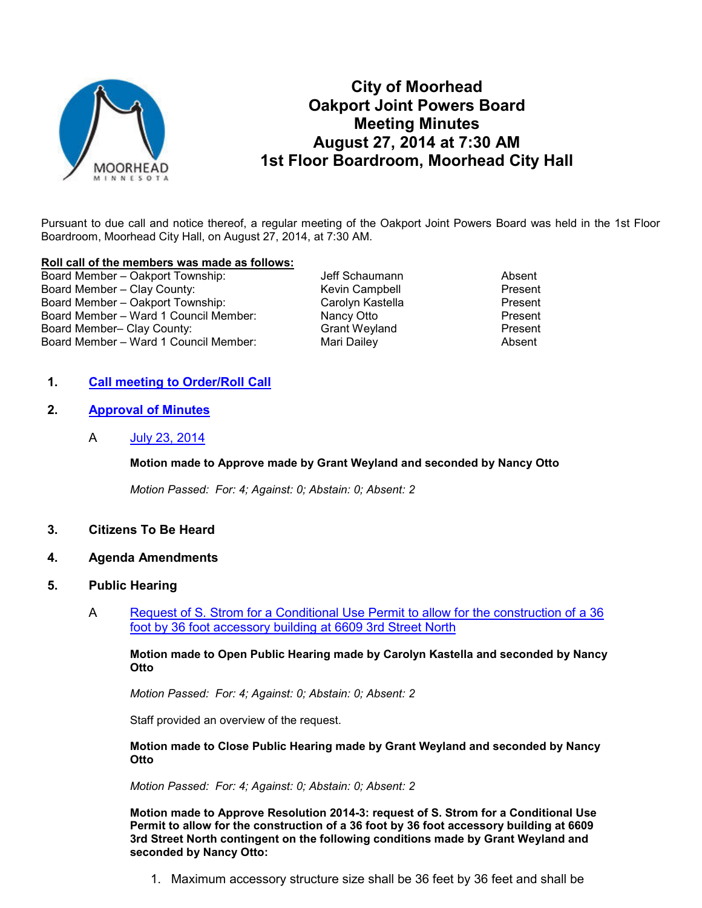

# **City of Moorhead Oakport Joint Powers Board Meeting Minutes August 27, 2014 at 7:30 AM 1st Floor Boardroom, Moorhead City Hall**

Pursuant to due call and notice thereof, a regular meeting of the Oakport Joint Powers Board was held in the 1st Floor Boardroom, Moorhead City Hall, on August 27, 2014, at 7:30 AM.

#### **Roll call of the members was made as follows:**

Board Member – Oakport Township:  $J$  Jeff Schaumann Absent Board Member – Clay County: The Most County Kevin Campbell The Resent Present<br>Board Member – Oakport Township: The Carolyn Kastella Present Present Board Member – Oakport Township: Board Member – Ward 1 Council Member: Nancy Otto Present Board Member- Clay County: Board Member – Ward 1 Council Member: Mari Dailey Mari Devilley Absent

# **1. Call meeting to Order/Roll Call**

- **2. Approval of Minutes**
	- A July 23, 2014

## **Motion made to Approve made by Grant Weyland and seconded by Nancy Otto**

*Motion Passed: For: 4; Against: 0; Abstain: 0; Absent: 2* 

- **3. Citizens To Be Heard**
- **4. Agenda Amendments**
- **5. Public Hearing**
	- A Request of S. Strom for a Conditional Use Permit to allow for the construction of a 36 foot by 36 foot accessory building at 6609 3rd Street North

**Motion made to Open Public Hearing made by Carolyn Kastella and seconded by Nancy Otto** 

*Motion Passed: For: 4; Against: 0; Abstain: 0; Absent: 2* 

Staff provided an overview of the request.

**Motion made to Close Public Hearing made by Grant Weyland and seconded by Nancy Otto** 

*Motion Passed: For: 4; Against: 0; Abstain: 0; Absent: 2* 

**Motion made to Approve Resolution 2014-3: request of S. Strom for a Conditional Use Permit to allow for the construction of a 36 foot by 36 foot accessory building at 6609 3rd Street North contingent on the following conditions made by Grant Weyland and seconded by Nancy Otto:** 

1. Maximum accessory structure size shall be 36 feet by 36 feet and shall be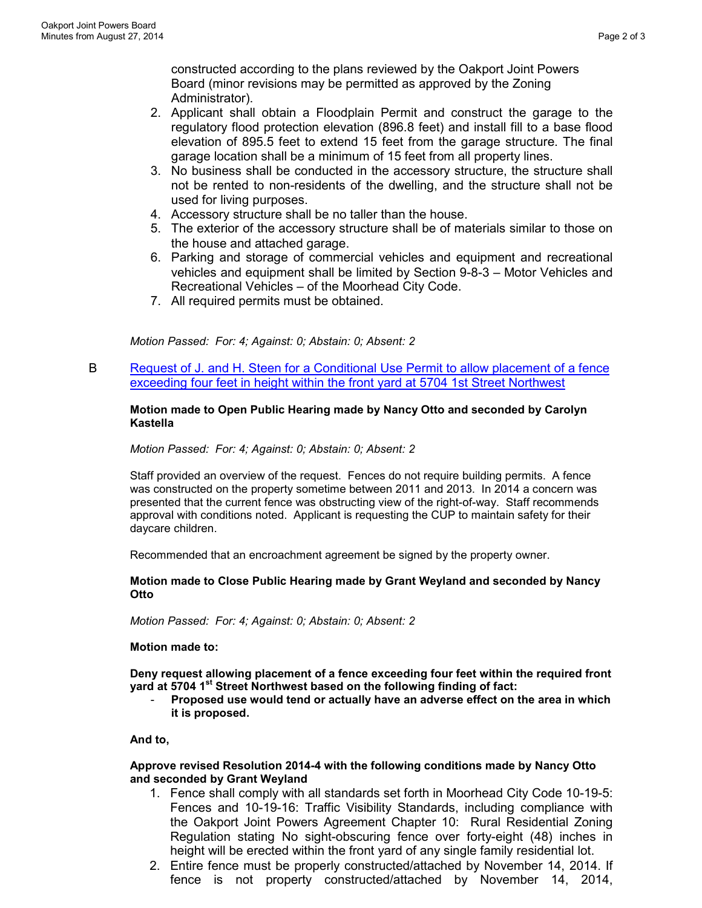constructed according to the plans reviewed by the Oakport Joint Powers Board (minor revisions may be permitted as approved by the Zoning Administrator).

- 2. Applicant shall obtain a Floodplain Permit and construct the garage to the regulatory flood protection elevation (896.8 feet) and install fill to a base flood elevation of 895.5 feet to extend 15 feet from the garage structure. The final garage location shall be a minimum of 15 feet from all property lines.
- 3. No business shall be conducted in the accessory structure, the structure shall not be rented to non-residents of the dwelling, and the structure shall not be used for living purposes.
- 4. Accessory structure shall be no taller than the house.
- 5. The exterior of the accessory structure shall be of materials similar to those on the house and attached garage.
- 6. Parking and storage of commercial vehicles and equipment and recreational vehicles and equipment shall be limited by Section 9-8-3 – Motor Vehicles and Recreational Vehicles – of the Moorhead City Code.
- 7. All required permits must be obtained.

*Motion Passed: For: 4; Against: 0; Abstain: 0; Absent: 2* 

B Request of J. and H. Steen for a Conditional Use Permit to allow placement of a fence exceeding four feet in height within the front yard at 5704 1st Street Northwest

## **Motion made to Open Public Hearing made by Nancy Otto and seconded by Carolyn Kastella**

## *Motion Passed: For: 4; Against: 0; Abstain: 0; Absent: 2*

Staff provided an overview of the request. Fences do not require building permits. A fence was constructed on the property sometime between 2011 and 2013. In 2014 a concern was presented that the current fence was obstructing view of the right-of-way. Staff recommends approval with conditions noted. Applicant is requesting the CUP to maintain safety for their daycare children.

Recommended that an encroachment agreement be signed by the property owner.

#### **Motion made to Close Public Hearing made by Grant Weyland and seconded by Nancy Otto**

*Motion Passed: For: 4; Against: 0; Abstain: 0; Absent: 2* 

**Motion made to:**

**Deny request allowing placement of a fence exceeding four feet within the required front yard at 5704 1st Street Northwest based on the following finding of fact:** 

- **Proposed use would tend or actually have an adverse effect on the area in which it is proposed.** 

## **And to,**

#### **Approve revised Resolution 2014-4 with the following conditions made by Nancy Otto and seconded by Grant Weyland**

- 1. Fence shall comply with all standards set forth in Moorhead City Code 10-19-5: Fences and 10-19-16: Traffic Visibility Standards, including compliance with the Oakport Joint Powers Agreement Chapter 10: Rural Residential Zoning Regulation stating No sight-obscuring fence over forty-eight (48) inches in height will be erected within the front yard of any single family residential lot.
- 2. Entire fence must be properly constructed/attached by November 14, 2014. If fence is not property constructed/attached by November 14, 2014,